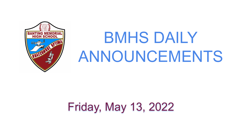# Friday, May 13, 2022



# BMHS DAILY ANNOUNCEMENTS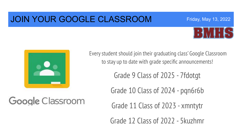#### JOIN YOUR GOOGLE CLASSROOM



Friday, May 13, 2022



Google Classroom

Every student should join their graduating class' Google Classroom to stay up to date with grade specific announcements!

Grade 9 Class of 2025 - 7fdotgt

Grade 10 Class of 2024 - pqn6r6b

Grade 11 Class of 2023 - xmntytr

Grade 12 Class of 2022 - 5kuzhmr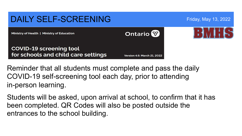#### DAILY SELF-SCREENING Friday, May 13, 2022 **Ontario** Ministry of Health | Ministry of Education **COVID-19 screening tool** for schools and child care settings

**Version 4.6: March 21, 2022** 

Reminder that all students must complete and pass the daily COVID-19 self-screening tool each day, prior to attending in-person learning.

Students will be asked, upon arrival at school, to confirm that it has been completed. QR Codes will also be posted outside the entrances to the school building.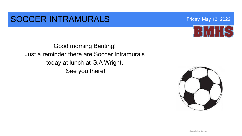#### SOCCER INTRAMURALS Friday, May 13, 2022

Good morning Banting! Just a reminder there are Soccer Intramurals today at lunch at G.A Wright. See you there!

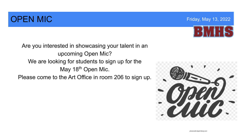## **OPEN MIC Example 2022 COPEN MIC COPEN MIC**



Are you interested in showcasing your talent in an upcoming Open Mic? We are looking for students to sign up for the May 18<sup>th</sup> Open Mic. Please come to the Art Office in room 206 to sign up.

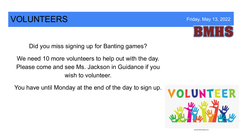## **VOLUNTEERS** Friday, May 13, 2022



Did you miss signing up for Banting games?

We need 10 more volunteers to help out with the day. Please come and see Ms. Jackson in Guidance if you wish to volunteer.

You have until Monday at the end of the day to sign up.

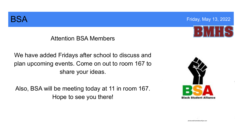

**BSA Friday, May 13, 2022** 

#### Attention BSA Members

We have added Fridays after school to discuss and plan upcoming events. Come on out to room 167 to share your ideas.

Also, BSA will be meeting today at 11 in room 167. Hope to see you there!

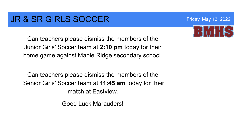#### **JR & SR GIRLS SOCCER** Friday, May 13, 2022

Can teachers please dismiss the members of the Junior Girls' Soccer team at **2:10 pm** today for their home game against Maple Ridge secondary school.

Can teachers please dismiss the members of the Senior Girls' Soccer team at **11:45 am** today for their match at Eastview.

Good Luck Marauders!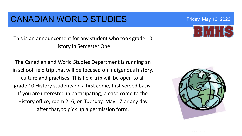#### CANADIAN WORLD STUDIES Friday, May 13, 2022

This is an announcement for any student who took grade 10 History in Semester One:

The Canadian and World Studies Department is running an in school field trip that will be focused on Indigenous history, culture and practises. This field trip will be open to all grade 10 History students on a first come, first served basis. If you are interested in participating, please come to the History office, room 216, on Tuesday, May 17 or any day after that, to pick up a permission form.

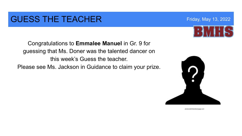### GUESS THE TEACHER Friday, May 13, 2022

Congratulations to **Emmalee Manuel** in Gr. 9 for guessing that Ms. Doner was the talented dancer on this week's Guess the teacher.

Please see Ms. Jackson in Guidance to claim your prize.



photocredit:thelodirampage.com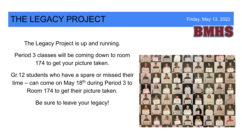### THE LEGACY PROJECT Friday, May 13, 2022

The Legacy Project is up and running.

Period 3 classes will be coming down to room 174 to get your picture taken.

Gr.12 students who have a spare or missed their time – can come on May 18<sup>th</sup> during Period 3 to Room 174 to get their picture taken.

Be sure to leave your legacy!

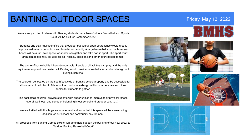### BANTING OUTDOOR SPACES Friday, May 13, 2022

We are very excited to share with Banting students that a New Outdoor Basketball and Sports Court will be built for September 2022!

Students and staff have identified that a outdoor basketball sport court space would greatly improve wellness in our school and broader community. A large basketball court with several hoops will be a fun, safe space for students to gather and take part in sport. The sport court area can additionally be used for ball hockey, pickleball and other court-based games.

The game of basketball is inherently equitable. People of all abilities can play, and the only equipment required is a basketball. Banting would provide basketballs for students to sign out during lunchtime.

The court will be located on the south/east side of Banting school property and be accessible for all students. In addition to 6 hoops, the court space design will include benches and picnic tables for students to gather.

The basketball court will provide students with opportunities to improve their physical fitness, overall wellness, and sense of belonging in our school and broader community.

We are thrilled with this huge announcement and know that this space will be a welcoming addition for our school and community environment.

All proceeds from Banting Games tickets will go to help support the building of our new 2022-23 Outdoor Banting Basketball Court!









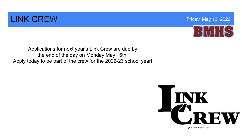#### **LINK CREW CREW CREW CONSTRUCTION CREW CONSTRUCTION**



Applications for next year's Link Crew are due by the end of the day on Monday May 16th. Apply today to be part of the crew for the 2022-23 school year!



photocredit:whsactivities.org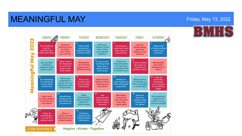#### **MEANINGFUL MAY Example 2018** The Second MEANING Friday, May 13, 2022



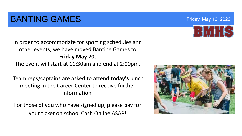### **BANTING GAMES Friday, May 13, 2022**

In order to accommodate for sporting schedules and other events, we have moved Banting Games to **Friday May 20.**  The event will start at 11:30am and end at 2:00pm.

Team reps/captains are asked to attend **today's** lunch meeting in the Career Center to receive further information.

For those of you who have signed up, please pay for your ticket on school Cash Online ASAP!